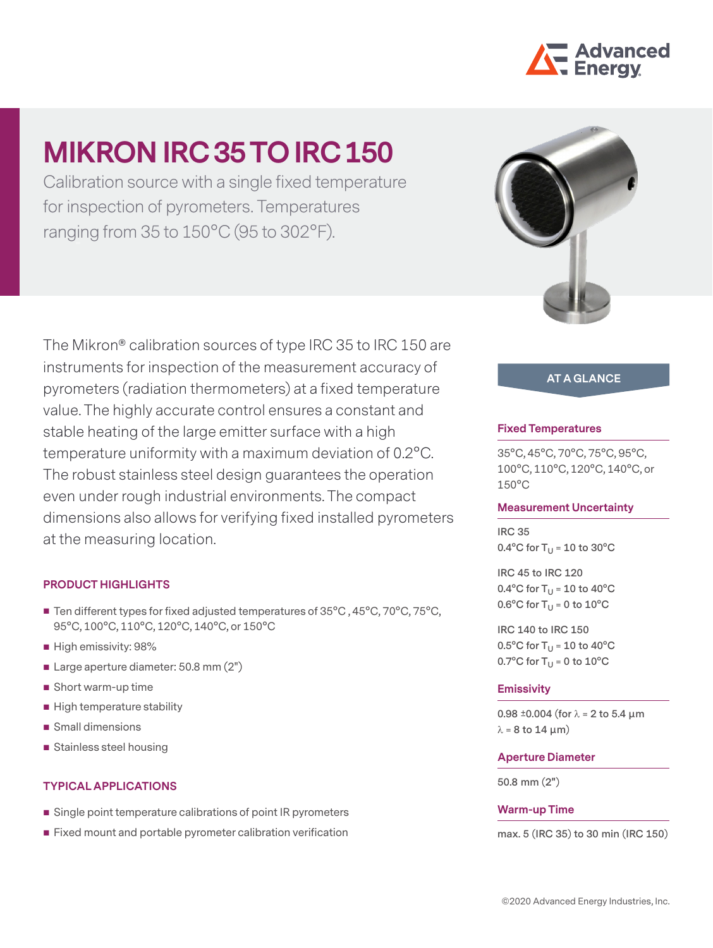

# **MIKRON IRC 35 TO IRC 150**

Calibration source with a single fixed temperature for inspection of pyrometers. Temperatures ranging from 35 to 150°C (95 to 302°F).

The Mikron® calibration sources of type IRC 35 to IRC 150 are instruments for inspection of the measurement accuracy of pyrometers (radiation thermometers) at a fixed temperature value. The highly accurate control ensures a constant and stable heating of the large emitter surface with a high temperature uniformity with a maximum deviation of 0.2°C. The robust stainless steel design guarantees the operation even under rough industrial environments. The compact dimensions also allows for verifying fixed installed pyrometers at the measuring location.

## **PRODUCT HIGHLIGHTS**

- Ten different types for fixed adjusted temperatures of 35°C, 45°C, 70°C, 75°C, 95°C, 100°C, 110°C, 120°C, 140°C, or 150°C
- High emissivity: 98%
- Large aperture diameter: 50.8 mm (2")
- Short warm-up time
- High temperature stability
- Small dimensions
- Stainless steel housing

## **TYPICAL APPLICATIONS**

- Single point temperature calibrations of point IR pyrometers
- Fixed mount and portable pyrometer calibration verification



# **AT A GLANCE**

### **Fixed Temperatures**

35°C, 45°C, 70°C, 75°C, 95°C, 100°C, 110°C, 120°C, 140°C, or 150°C

#### **Measurement Uncertainty**

**IRC 35**  $0.4^{\circ}$ C for T<sub>U</sub> = 10 to 30 $^{\circ}$ C

**IRC 45 to IRC 120**  $0.4^{\circ}$ C for T<sub>U</sub> = 10 to 40 $^{\circ}$ C  $0.6^{\circ}$ C for T<sub>U</sub> = 0 to  $10^{\circ}$ C

**IRC 140 to IRC 150**  $0.5^{\circ}$ C for T<sub>U</sub> = 10 to 40 $^{\circ}$ C  $0.7^{\circ}$ C for T<sub>U</sub> = 0 to  $10^{\circ}$ C

#### **Emissivity**

**0.98 ±0.004 (for** λ **= 2 to 5.4 µm**   $λ = 8$  to 14  $μm)$ 

#### **Aperture Diameter**

**50.8 mm (2")**

#### **Warm-up Time**

**max. 5 (IRC 35) to 30 min (IRC 150)**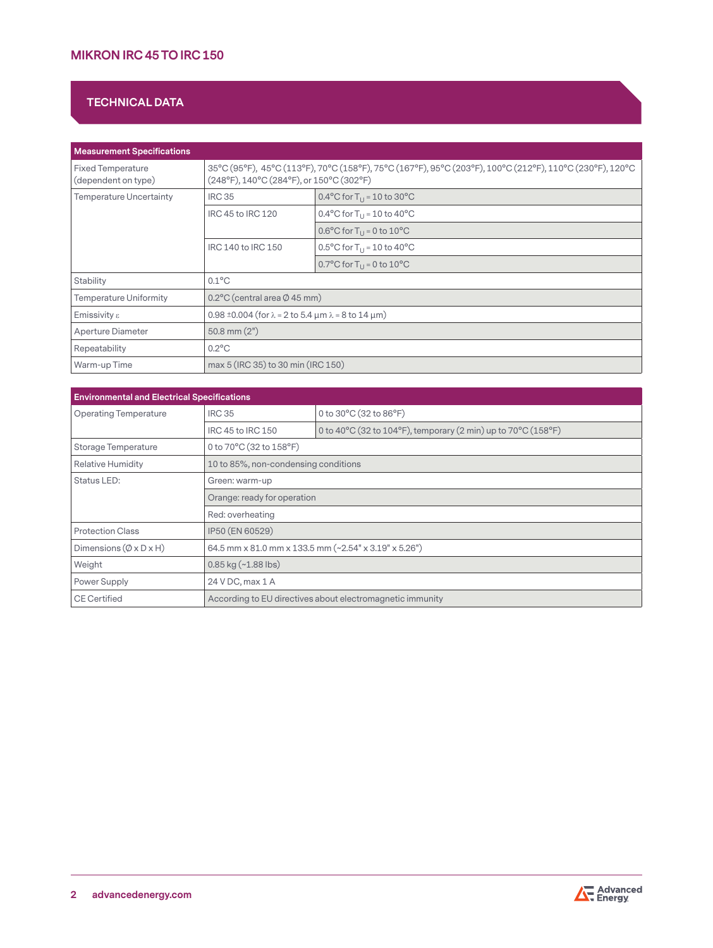# **MIKRON IRC 45 TO IRC 150**

# **TECHNICAL DATA**

| <b>Measurement Specifications</b>               |                                                                                                                                                      |                                                              |  |
|-------------------------------------------------|------------------------------------------------------------------------------------------------------------------------------------------------------|--------------------------------------------------------------|--|
| <b>Fixed Temperature</b><br>(dependent on type) | 35°C (95°F), 45°C (113°F), 70°C (158°F), 75°C (167°F), 95°C (203°F), 100°C (212°F), 110°C (230°F), 120°C<br>(248°F), 140°C (284°F), or 150°C (302°F) |                                                              |  |
| <b>Temperature Uncertainty</b>                  | <b>IRC 35</b>                                                                                                                                        | 0.4°C for $T_{11}$ = 10 to 30°C                              |  |
|                                                 | IRC 45 to IRC 120                                                                                                                                    | 0.4°C for $T_{11}$ = 10 to 40°C                              |  |
|                                                 |                                                                                                                                                      | $0.6^{\circ}$ C for T <sub>11</sub> = 0 to 10 <sup>o</sup> C |  |
|                                                 | IRC 140 to IRC 150                                                                                                                                   | 0.5°C for $T_{11}$ = 10 to 40°C                              |  |
|                                                 |                                                                                                                                                      | 0.7°C for $T_{11}$ = 0 to 10°C                               |  |
| Stability                                       | $0.1^{\circ}$ C                                                                                                                                      |                                                              |  |
| <b>Temperature Uniformity</b>                   | $0.2^{\circ}$ C (central area $\emptyset$ 45 mm)                                                                                                     |                                                              |  |
| Emissivity $\varepsilon$                        | $0.98 \pm 0.004$ (for $\lambda = 2$ to 5.4 $\mu$ m $\lambda = 8$ to 14 $\mu$ m)                                                                      |                                                              |  |
| Aperture Diameter                               | $50.8$ mm $(2")$                                                                                                                                     |                                                              |  |
| Repeatability                                   | $0.2^{\circ}$ C                                                                                                                                      |                                                              |  |
| Warm-up Time                                    | max 5 (IRC 35) to 30 min (IRC 150)                                                                                                                   |                                                              |  |

| <b>Environmental and Electrical Specifications</b> |                                                           |                                                                                                           |  |
|----------------------------------------------------|-----------------------------------------------------------|-----------------------------------------------------------------------------------------------------------|--|
| <b>Operating Temperature</b>                       | <b>IRC 35</b>                                             | 0 to 30°C (32 to 86°F)                                                                                    |  |
|                                                    | IRC 45 to IRC 150                                         | 0 to 40 $^{\circ}$ C (32 to 104 $^{\circ}$ F), temporary (2 min) up to 70 $^{\circ}$ C (158 $^{\circ}$ F) |  |
| Storage Temperature                                | 0 to 70°C (32 to 158°F)                                   |                                                                                                           |  |
| <b>Relative Humidity</b>                           | 10 to 85%, non-condensing conditions                      |                                                                                                           |  |
| Status LED:                                        | Green: warm-up                                            |                                                                                                           |  |
|                                                    | Orange: ready for operation                               |                                                                                                           |  |
|                                                    | Red: overheating                                          |                                                                                                           |  |
| <b>Protection Class</b>                            | IP50 (EN 60529)                                           |                                                                                                           |  |
| Dimensions $(\emptyset \times D \times H)$         | 64.5 mm x 81.0 mm x 133.5 mm (~2.54" x 3.19" x 5.26")     |                                                                                                           |  |
| Weight                                             | $0.85$ kg $(-1.88$ lbs)                                   |                                                                                                           |  |
| Power Supply                                       | 24 V DC, max 1 A                                          |                                                                                                           |  |
| <b>CE Certified</b>                                | According to EU directives about electromagnetic immunity |                                                                                                           |  |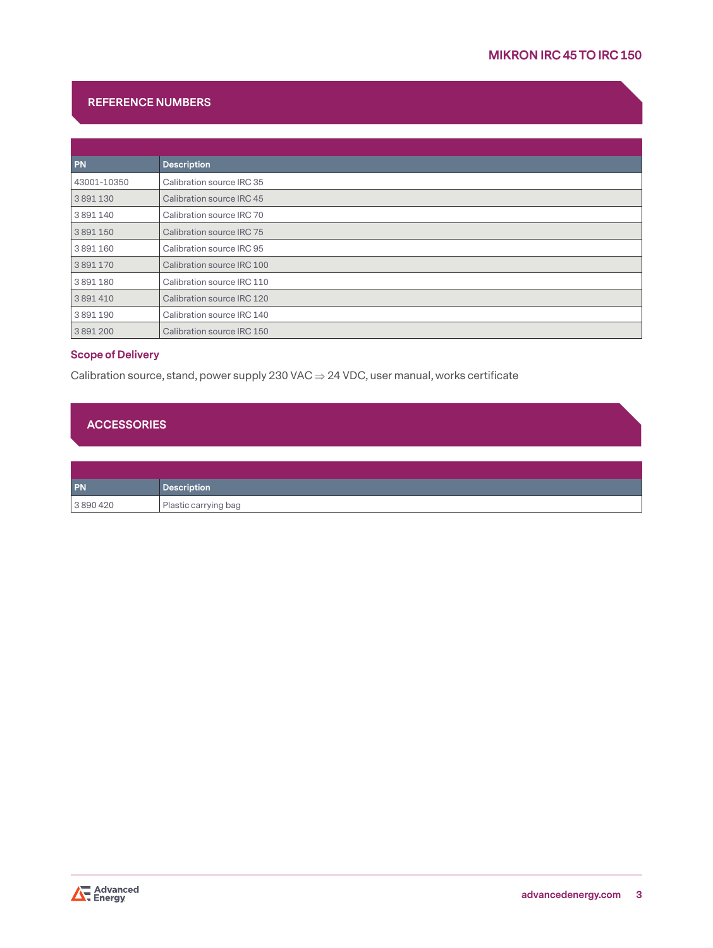# **REFERENCE NUMBERS**

| <b>PN</b>   | <b>Description</b>         |
|-------------|----------------------------|
| 43001-10350 | Calibration source IRC 35  |
| 3891130     | Calibration source IRC 45  |
| 3891140     | Calibration source IRC 70  |
| 3891150     | Calibration source IRC 75  |
| 3891160     | Calibration source IRC 95  |
| 3891170     | Calibration source IRC 100 |
| 3891180     | Calibration source IRC 110 |
| 3891410     | Calibration source IRC 120 |
| 3891190     | Calibration source IRC 140 |
| 3891200     | Calibration source IRC 150 |

## **Scope of Delivery**

Calibration source, stand, power supply 230 VAC  $\Rightarrow$  24 VDC, user manual, works certificate

# **ACCESSORIES**

| PN      | <b>Description</b>   |
|---------|----------------------|
| 3890420 | Plastic carrying bag |